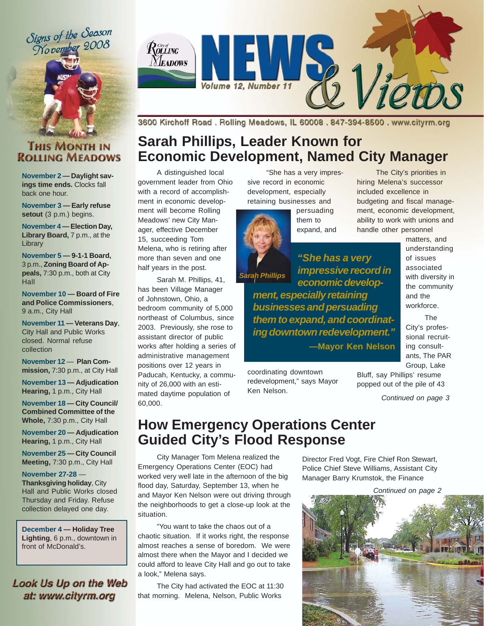Signs of the Season Mo vember 2008





3600 Kirchoff Road, Rolling Meadows, IL 60008, 847-394-8500, www.cityrm.org

## **Sarah Phillips, Leader Known for Economic Development, Named City Manager**

A distinguished local government leader from Ohio with a record of accomplishment in economic development will become Rolling Meadows' new City Manager, effective December 15, succeeding Tom Melena, who is retiring after more than seven and one half years in the post.

Sarah M. Phillips, 41, has been Village Manager of Johnstown, Ohio, a bedroom community of 5,000 northeast of Columbus, since 2003. Previously, she rose to assistant director of public works after holding a series of administrative management positions over 12 years in Paducah, Kentucky, a community of 26,000 with an estimated daytime population of 60,000.

"She has a very impressive record in economic development, especially retaining businesses and

> persuading them to expand, and

The City's priorities in hiring Melena's successor included excellence in budgeting and fiscal management, economic development, ability to work with unions and handle other personnel

*Sarah Phillips*

*economic development, especially retaining businesses and persuading them to expand, and coordinating downtown redevelopment."* **—Mayor Ken Nelson**

*"She has a very impressive record in*

coordinating downtown redevelopment," says Mayor Ken Nelson.

matters, and understanding of issues associated with diversity in the community and the workforce.

The City's professional recruiting consultants, The PAR Group, Lake

Bluff, say Phillips' resume popped out of the pile of 43

*Continued on page 3*

## **How Emergency Operations Center Guided City's Flood Response**

City Manager Tom Melena realized the Emergency Operations Center (EOC) had worked very well late in the afternoon of the big flood day, Saturday, September 13, when he and Mayor Ken Nelson were out driving through the neighborhoods to get a close-up look at the situation.

"You want to take the chaos out of a chaotic situation. If it works right, the response almost reaches a sense of boredom. We were almost there when the Mayor and I decided we could afford to leave City Hall and go out to take a look," Melena says.

The City had activated the EOC at 11:30 that morning. Melena, Nelson, Public Works

Director Fred Vogt, Fire Chief Ron Stewart, Police Chief Steve Williams, Assistant City Manager Barry Krumstok, the Finance



### **THIS MONTH IN ROLLING MEADOWS**

**November 2 — Daylight savings time ends.** Clocks fall back one hour.

**November 3 — Early refuse** setout (3 p.m.) begins.

**November 4 — Election Day,** Library Board, 7 p.m., at the **Library** 

**November 5 — 9-1-1 Board,** 3 p.m., **Zoning Board of Appeals,** 7:30 p.m., both at City Hall

**November 10 — Board of Fire and Police Commissioners**, 9 a.m., City Hall

**November 11 — Veterans Day**, City Hall and Public Works closed. Normal refuse collection

**November 12** — **Plan Commission,** 7:30 p.m., at City Hall

**November 13 — Adjudication Hearing,** 1 p.m., City Hall

**November 18 — City Council/ Combined Committee of the Whole,** 7:30 p.m., City Hall

**November 20 — Adjudication Hearing,** 1 p.m., City Hall

**November 25 — City Council Meeting,** 7:30 p.m., City Hall

**November 27-28** — **Thanksgiving holiday**, City Hall and Public Works closed Thursday and Friday. Refuse collection delayed one day.

**December 4 — Holiday Tree Lighting**, 6 p.m., downtown in front of McDonald's.

### Look Us Up on the Web at: www.cityrm.org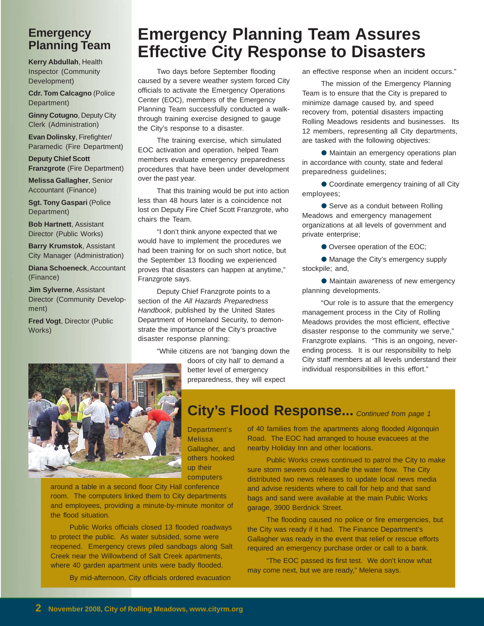### **Emergency Planning Team**

**Kerry Abdullah**, Health Inspector (Community Development)

**Cdr. Tom Calcagno** (Police Department)

**Ginny Cotugno**, Deputy City Clerk (Administration)

**Evan Dolinsky**, Firefighter/ Paramedic (Fire Department)

**Deputy Chief Scott Franzgrote** (Fire Department)

**Melissa Gallagher**, Senior Accountant (Finance)

**Sgt. Tony Gaspari** (Police Department)

**Bob Hartnett**, Assistant Director (Public Works)

**Barry Krumstok**, Assistant City Manager (Administration)

**Diana Schoeneck**, Accountant (Finance)

**Jim Sylverne**, Assistant Director (Community Development)

**Fred Vogt**, Director (Public Works)

# **Emergency Planning Team Assures Effective City Response to Disasters**

Two days before September flooding caused by a severe weather system forced City officials to activate the Emergency Operations Center (EOC), members of the Emergency Planning Team successfully conducted a walkthrough training exercise designed to gauge the City's response to a disaster.

The training exercise, which simulated EOC activation and operation, helped Team members evaluate emergency preparedness procedures that have been under development over the past year.

That this training would be put into action less than 48 hours later is a coincidence not lost on Deputy Fire Chief Scott Franzgrote, who chairs the Team.

"I don't think anyone expected that we would have to implement the procedures we had been training for on such short notice, but the September 13 flooding we experienced proves that disasters can happen at anytime," Franzgrote says.

Deputy Chief Franzgrote points to a section of the *All Hazards Preparedness Handbook*, published by the United States Department of Homeland Security, to demonstrate the importance of the City's proactive disaster response planning:

> "While citizens are not 'banging down the doors of city hall' to demand a

better level of emergency preparedness, they will expect an effective response when an incident occurs."

The mission of the Emergency Planning Team is to ensure that the City is prepared to minimize damage caused by, and speed recovery from, potential disasters impacting Rolling Meadows residents and businesses. Its 12 members, representing all City departments, are tasked with the following objectives:

● Maintain an emergency operations plan in accordance with county, state and federal preparedness guidelines;

● Coordinate emergency training of all City employees;

● Serve as a conduit between Rolling Meadows and emergency management organizations at all levels of government and private enterprise;

● Oversee operation of the EOC;

● Manage the City's emergency supply stockpile; and,

● Maintain awareness of new emergency planning developments.

"Our role is to assure that the emergency management process in the City of Rolling Meadows provides the most efficient, effective disaster response to the community we serve," Franzgrote explains. "This is an ongoing, neverending process. It is our responsibility to help City staff members at all levels understand their individual responsibilities in this effort."



Department's

Melissa Gallagher, and others hooked up their computers

around a table in a second floor City Hall conference room. The computers linked them to City departments and employees, providing a minute-by-minute monitor of the flood situation.

Public Works officials closed 13 flooded roadways to protect the public. As water subsided, some were reopened. Emergency crews piled sandbags along Salt Creek near the Willowbend of Salt Creek apartments, where 40 garden apartment units were badly flooded.

By mid-afternoon, City officials ordered evacuation

## City's Flood Response... Continued from page 1

of 40 families from the apartments along flooded Algonquin Road. The EOC had arranged to house evacuees at the nearby Holiday Inn and other locations.

Public Works crews continued to patrol the City to make sure storm sewers could handle the water flow. The City distributed two news releases to update local news media and advise residents where to call for help and that sand bags and sand were available at the main Public Works garage, 3900 Berdnick Street.

The flooding caused no police or fire emergencies, but the City was ready if it had. The Finance Department's Gallagher was ready in the event that relief or rescue efforts required an emergency purchase order or call to a bank.

"The EOC passed its first test. We don't know what may come next, but we are ready," Melena says.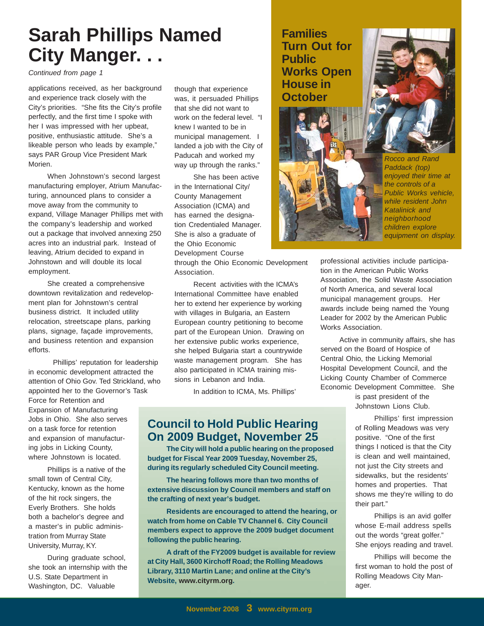# **Sarah Phillips Named City Manger. . .**

*Continued from page 1*

applications received, as her background and experience track closely with the City's priorities. "She fits the City's profile perfectly, and the first time I spoke with her I was impressed with her upbeat, positive, enthusiastic attitude. She's a likeable person who leads by example," says PAR Group Vice President Mark Morien.

When Johnstown's second largest manufacturing employer, Atrium Manufacturing, announced plans to consider a move away from the community to expand, Village Manager Phillips met with the company's leadership and worked out a package that involved annexing 250 acres into an industrial park. Instead of leaving, Atrium decided to expand in Johnstown and will double its local employment.

She created a comprehensive downtown revitalization and redevelopment plan for Johnstown's central business district. It included utility relocation, streetscape plans, parking plans, signage, façade improvements, and business retention and expansion efforts.

 Phillips' reputation for leadership in economic development attracted the attention of Ohio Gov. Ted Strickland, who appointed her to the Governor's Task

Force for Retention and Expansion of Manufacturing Jobs in Ohio. She also serves on a task force for retention and expansion of manufacturing jobs in Licking County, where Johnstown is located.

Phillips is a native of the small town of Central City, Kentucky, known as the home of the hit rock singers, the Everly Brothers. She holds both a bachelor's degree and a master's in public administration from Murray State University, Murray, KY.

During graduate school, she took an internship with the U.S. State Department in Washington, DC. Valuable

though that experience was, it persuaded Phillips that she did not want to work on the federal level. "I knew I wanted to be in municipal management. I landed a job with the City of Paducah and worked my way up through the ranks."

She has been active in the International City/ County Management Association (ICMA) and has earned the designation Credentialed Manager. She is also a graduate of the Ohio Economic Development Course

through the Ohio Economic Development Association.

### **Families Turn Out for Public Works Open House in October**



*Rocco and Rand Paddack (top) enjoyed their time at the controls of a Public Works vehicle, while resident John Katalinick and neighborhood children explore equipment on display.*

professional activities include participation in the American Public Works Association, the Solid Waste Association of North America, and several local municipal management groups. Her awards include being named the Young Leader for 2002 by the American Public Works Association.

Active in community affairs, she has served on the Board of Hospice of Central Ohio, the Licking Memorial Hospital Development Council, and the Licking County Chamber of Commerce Economic Development Committee. She

> is past president of the Johnstown Lions Club.

Phillips' first impression of Rolling Meadows was very positive. "One of the first things I noticed is that the City is clean and well maintained, not just the City streets and sidewalks, but the residents' homes and properties. That shows me they're willing to do their part."

Phillips is an avid golfer whose E-mail address spells out the words "great golfer." She enjoys reading and travel.

Phillips will become the first woman to hold the post of Rolling Meadows City Manager.

Recent activities with the ICMA's International Committee have enabled her to extend her experience by working with villages in Bulgaria, an Eastern European country petitioning to become part of the European Union. Drawing on her extensive public works experience, she helped Bulgaria start a countrywide waste management program. She has also participated in ICMA training missions in Lebanon and India.

In addition to ICMA, Ms. Phillips'

### **Council to Hold Public Hearing On 2009 Budget, November 25**

**The City will hold a public hearing on the proposed budget for Fiscal Year 2009 Tuesday, November 25, during its regularly scheduled City Council meeting.**

**The hearing follows more than two months of extensive discussion by Council members and staff on the crafting of next year's budget.**

**Residents are encouraged to attend the hearing, or watch from home on Cable TV Channel 6. City Council members expect to approve the 2009 budget document following the public hearing.**

**A draft of the FY2009 budget is available for review at City Hall, 3600 Kirchoff Road; the Rolling Meadows Library, 3110 Martin Lane; and online at the City's Website, www.cityrm.org.**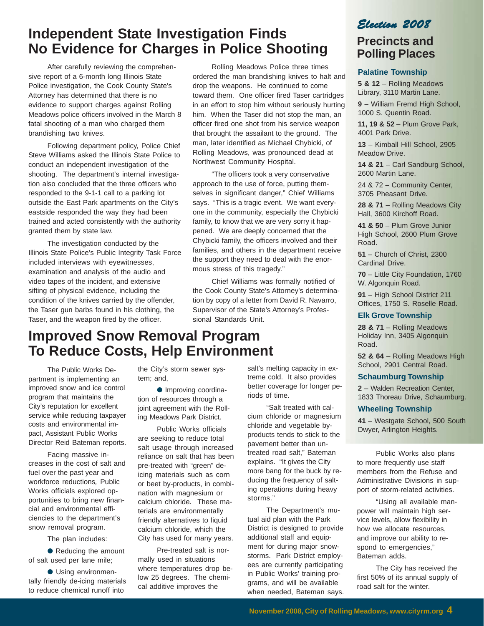## **Independent State Investigation Finds No Evidence for Charges in Police Shooting**

After carefully reviewing the comprehensive report of a 6-month long Illinois State Police investigation, the Cook County State's Attorney has determined that there is no evidence to support charges against Rolling Meadows police officers involved in the March 8 fatal shooting of a man who charged them brandishing two knives.

Following department policy, Police Chief Steve Williams asked the Illinois State Police to conduct an independent investigation of the shooting. The department's internal investigation also concluded that the three officers who responded to the 9-1-1 call to a parking lot outside the East Park apartments on the City's eastside responded the way they had been trained and acted consistently with the authority granted them by state law.

The investigation conducted by the Illinois State Police's Public Integrity Task Force included interviews with eyewitnesses, examination and analysis of the audio and video tapes of the incident, and extensive sifting of physical evidence, including the condition of the knives carried by the offender, the Taser gun barbs found in his clothing, the Taser, and the weapon fired by the officer.

Rolling Meadows Police three times ordered the man brandishing knives to halt and drop the weapons. He continued to come toward them. One officer fired Taser cartridges in an effort to stop him without seriously hurting him. When the Taser did not stop the man, an officer fired one shot from his service weapon that brought the assailant to the ground. The man, later identified as Michael Chybicki, of Rolling Meadows, was pronounced dead at Northwest Community Hospital.

"The officers took a very conservative approach to the use of force, putting themselves in significant danger," Chief Williams says. "This is a tragic event. We want everyone in the community, especially the Chybicki family, to know that we are very sorry it happened. We are deeply concerned that the Chybicki family, the officers involved and their families, and others in the department receive the support they need to deal with the enormous stress of this tragedy."

Chief Williams was formally notified of the Cook County State's Attorney's determination by copy of a letter from David R. Navarro, Supervisor of the State's Attorney's Professional Standards Unit.

## **Improved Snow Removal Program To Reduce Costs, Help Environment**

The Public Works Department is implementing an improved snow and ice control program that maintains the City's reputation for excellent service while reducing taxpayer costs and environmental impact, Assistant Public Works Director Reid Bateman reports.

Facing massive increases in the cost of salt and fuel over the past year and workforce reductions*,* Public Works officials explored opportunities to bring new financial and environmental efficiencies to the department's snow removal program.

The plan includes:

● Reducing the amount of salt used per lane mile;

● Using environmentally friendly de-icing materials to reduce chemical runoff into

the City's storm sewer system; and,

● Improving coordination of resources through a joint agreement with the Rolling Meadows Park District.

Public Works officials are seeking to reduce total salt usage through increased reliance on salt that has been pre-treated with "green" deicing materials such as corn or beet by-products, in combination with magnesium or calcium chloride*.* These materials are environmentally friendly alternatives to liquid calcium chloride, which the City has used for many years.

Pre-treated salt is normally used in situations where temperatures drop below 25 degrees. The chemical additive improves the

salt's melting capacity in extreme cold. It also provides better coverage for longer periods of time.

"Salt treated with calcium chloride or magnesium chloride and vegetable byproducts tends to stick to the pavement better than untreated road salt," Bateman explains. "It gives the City more bang for the buck by reducing the frequency of salting operations during heavy storms."

The Department's mutual aid plan with the Park District is designed to provide additional staff and equipment for during major snowstorms. Park District employees are currently participating in Public Works' training programs, and will be available when needed, Bateman says.

### *Election 2008*

## **Precincts and Polling Places**

#### **Palatine Township**

**5 & 12** – Rolling Meadows Library, 3110 Martin Lane.

**9** – William Fremd High School, 1000 S. Quentin Road.

**11, 19 & 52** – Plum Grove Park, 4001 Park Drive.

**13** – Kimball Hill School, 2905 Meadow Drive.

**14 & 21** – Carl Sandburg School, 2600 Martin Lane.

24 & 72 – Community Center, 3705 Pheasant Drive.

**28 & 71** – Rolling Meadows City Hall, 3600 Kirchoff Road.

**41 & 50** – Plum Grove Junior High School, 2600 Plum Grove Road.

**51** – Church of Christ, 2300 Cardinal Drive.

**70** – Little City Foundation, 1760 W. Algonquin Road.

**91** – High School District 211 Offices, 1750 S. Roselle Road.

#### **Elk Grove Township**

**28 & 71** – Rolling Meadows Holiday Inn, 3405 Algonquin Road.

**52 & 64** – Rolling Meadows High School, 2901 Central Road.

#### **Schaumburg Township**

**2** – Walden Recreation Center, 1833 Thoreau Drive, Schaumburg.

#### **Wheeling Township**

**41** – Westgate School, 500 South Dwyer, Arlington Heights.

Public Works also plans to more frequently use staff members from the Refuse and Administrative Divisions in support of storm-related activities.

"Using all available manpower will maintain high service levels, allow flexibility in how we allocate resources, and improve our ability to respond to emergencies," Bateman adds.

The City has received the first 50% of its annual supply of road salt for the winter.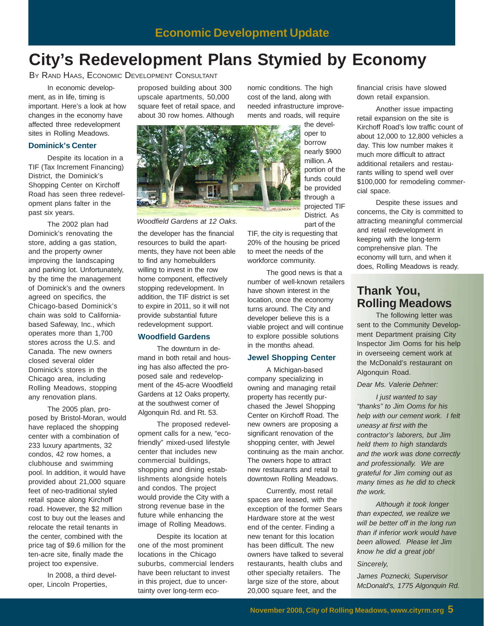# **City's Redevelopment Plans Stymied by Economy**

BY RAND HAAS, ECONOMIC DEVELOPMENT CONSULTANT

In economic development, as in life, timing is important. Here's a look at how changes in the economy have affected three redevelopment sites in Rolling Meadows.

#### **Dominick's Center**

Despite its location in a TIF (Tax Increment Financing) District, the Dominick's Shopping Center on Kirchoff Road has seen three redevelopment plans falter in the past six years.

The 2002 plan had Dominick's renovating the store, adding a gas station, and the property owner improving the landscaping and parking lot. Unfortunately, by the time the management of Dominick's and the owners agreed on specifics, the Chicago-based Dominick's chain was sold to Californiabased Safeway, Inc., which operates more than 1,700 stores across the U.S. and Canada. The new owners closed several older Dominick's stores in the Chicago area, including Rolling Meadows, stopping any renovation plans.

The 2005 plan, proposed by Bristol-Moran, would have replaced the shopping center with a combination of 233 luxury apartments, 32 condos, 42 row homes, a clubhouse and swimming pool. In addition, it would have provided about 21,000 square feet of neo-traditional styled retail space along Kirchoff road. However, the \$2 million cost to buy out the leases and relocate the retail tenants in the center, combined with the price tag of \$9.6 million for the ten-acre site, finally made the project too expensive.

In 2008, a third developer, Lincoln Properties,

proposed building about 300 upscale apartments, 50,000 square feet of retail space, and about 30 row homes. Although



the developer has the financial resources to build the apartments, they have not been able to find any homebuilders willing to invest in the row home component, effectively stopping redevelopment. In addition, the TIF district is set to expire in 2011, so it will not provide substantial future redevelopment support. *Woodfield Gardens at 12 Oaks.*

#### **Woodfield Gardens**

The downturn in demand in both retail and housing has also affected the proposed sale and redevelopment of the 45-acre Woodfield Gardens at 12 Oaks property, at the southwest corner of Algonquin Rd. and Rt. 53.

The proposed redevelopment calls for a new, "ecofriendly" mixed-used lifestyle center that includes new commercial buildings, shopping and dining establishments alongside hotels and condos. The project would provide the City with a strong revenue base in the future while enhancing the image of Rolling Meadows.

Despite its location at one of the most prominent locations in the Chicago suburbs, commercial lenders have been reluctant to invest in this project, due to uncertainty over long-term economic conditions. The high cost of the land, along with needed infrastructure improvements and roads, will require

the developer to borrow nearly \$900 million. A portion of the funds could be provided through a projected TIF District. As

TIF, the city is requesting that 20% of the housing be priced to meet the needs of the workforce community.

part of the

The good news is that a number of well-known retailers have shown interest in the location, once the economy turns around. The City and developer believe this is a viable project and will continue to explore possible solutions in the months ahead.

#### **Jewel Shopping Center**

A Michigan-based company specializing in owning and managing retail property has recently purchased the Jewel Shopping Center on Kirchoff Road. The new owners are proposing a significant renovation of the shopping center, with Jewel continuing as the main anchor. The owners hope to attract new restaurants and retail to downtown Rolling Meadows.

Currently, most retail spaces are leased, with the exception of the former Sears Hardware store at the west end of the center. Finding a new tenant for this location has been difficult. The new owners have talked to several restaurants, health clubs and other specialty retailers. The large size of the store, about 20,000 square feet, and the

financial crisis have slowed down retail expansion.

Another issue impacting retail expansion on the site is Kirchoff Road's low traffic count of about 12,000 to 12,800 vehicles a day. This low number makes it much more difficult to attract additional retailers and restaurants willing to spend well over \$100,000 for remodeling commercial space.

Despite these issues and concerns, the City is committed to attracting meaningful commercial and retail redevelopment in keeping with the long-term comprehensive plan. The economy will turn, and when it does, Rolling Meadows is ready.

### **Thank You, Rolling Meadows**

The following letter was sent to the Community Development Department praising City Inspector Jim Ooms for his help in overseeing cement work at the McDonald's restaurant on Algonquin Road.

*Dear Ms. Valerie Dehner:*

*I just wanted to say "thanks" to Jim Ooms for his help with our cement work. I felt uneasy at first with the contractor's laborers, but Jim held them to high standards and the work was done correctly and professionally. We are grateful for Jim coming out as many times as he did to check the work.*

*Although it took longer than expected, we realize we will be better off in the long run than if inferior work would have been allowed. Please let Jim know he did a great job!*

*Sincerely,*

*James Poznecki, Supervisor McDonald's, 1775 Algonquin Rd.*